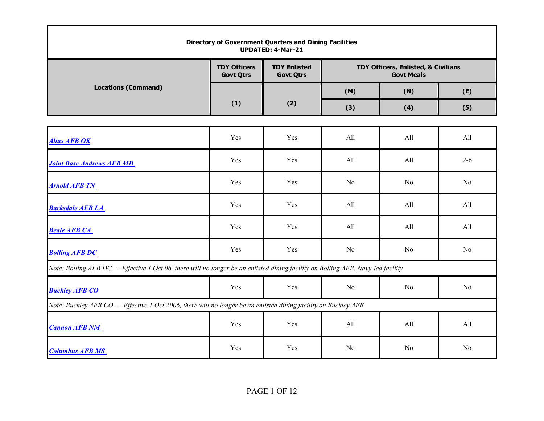|                                                                                                                                    |                                         | <b>Directory of Government Quarters and Dining Facilities</b><br><b>UPDATED: 4-Mar-21</b> |     |                                                          |                |  |
|------------------------------------------------------------------------------------------------------------------------------------|-----------------------------------------|-------------------------------------------------------------------------------------------|-----|----------------------------------------------------------|----------------|--|
|                                                                                                                                    | <b>TDY Officers</b><br><b>Govt Qtrs</b> | <b>TDY Enlisted</b><br><b>Govt Qtrs</b>                                                   |     | TDY Officers, Enlisted, & Civilians<br><b>Govt Meals</b> |                |  |
| <b>Locations (Command)</b>                                                                                                         |                                         |                                                                                           | (M) | (N)                                                      | (E)            |  |
|                                                                                                                                    | (1)                                     | (2)                                                                                       | (3) | (4)                                                      | (5)            |  |
|                                                                                                                                    |                                         |                                                                                           |     |                                                          |                |  |
| <b>Altus AFB OK</b>                                                                                                                | Yes                                     | Yes                                                                                       | All | All                                                      | All            |  |
| <b>Joint Base Andrews AFB MD</b>                                                                                                   | Yes                                     | Yes                                                                                       | All | All                                                      | $2 - 6$        |  |
| <b>Arnold AFB TN</b>                                                                                                               | Yes                                     | Yes                                                                                       | No  | No                                                       | N <sub>o</sub> |  |
| <b>Barksdale AFB LA</b>                                                                                                            | Yes                                     | Yes                                                                                       | All | All                                                      | All            |  |
| <b>Beale AFB CA</b>                                                                                                                | Yes                                     | Yes                                                                                       | All | All                                                      | All            |  |
| <b>Bolling AFB DC</b>                                                                                                              | Yes                                     | Yes                                                                                       | No  | No                                                       | No             |  |
| Note: Bolling AFB DC --- Effective 1 Oct 06, there will no longer be an enlisted dining facility on Bolling AFB. Navy-led facility |                                         |                                                                                           |     |                                                          |                |  |
| <b>Buckley AFB CO</b>                                                                                                              | Yes                                     | Yes                                                                                       | No  | No                                                       | N <sub>o</sub> |  |
| Note: Buckley AFB CO --- Effective 1 Oct 2006, there will no longer be an enlisted dining facility on Buckley AFB.                 |                                         |                                                                                           |     |                                                          |                |  |
| <b>Cannon AFB NM</b>                                                                                                               | Yes                                     | Yes                                                                                       | All | All                                                      | All            |  |
| <b>Columbus AFB MS</b>                                                                                                             | Yes                                     | Yes                                                                                       | No  | No                                                       | No             |  |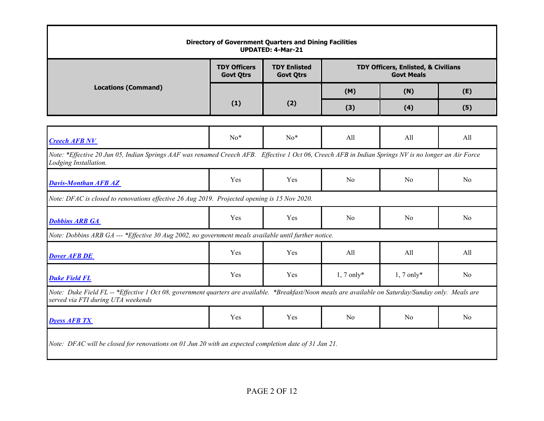|                                                                                                                                                                                             | <b>TDY Officers</b><br><b>Govt Qtrs</b> | <b>TDY Enlisted</b><br><b>Govt Qtrs</b> |                | TDY Officers, Enlisted, & Civilians<br><b>Govt Meals</b> |                |
|---------------------------------------------------------------------------------------------------------------------------------------------------------------------------------------------|-----------------------------------------|-----------------------------------------|----------------|----------------------------------------------------------|----------------|
| <b>Locations (Command)</b>                                                                                                                                                                  |                                         |                                         | (M)            | (N)                                                      | (E)            |
|                                                                                                                                                                                             | (1)                                     | (2)                                     | (3)            | (4)                                                      | (5)            |
|                                                                                                                                                                                             |                                         |                                         |                |                                                          |                |
| <b>Creech AFB NV</b>                                                                                                                                                                        | $No*$                                   | $No*$                                   | All            | All                                                      | All            |
| Note: *Effective 20 Jun 05, Indian Springs AAF was renamed Creech AFB. Effective 1 Oct 06, Creech AFB in Indian Springs NV is no longer an Air Force<br>Lodging Installation.               |                                         |                                         |                |                                                          |                |
| <b>Davis-Monthan AFB AZ</b>                                                                                                                                                                 | Yes                                     | Yes                                     | N <sub>0</sub> | No                                                       | N <sub>o</sub> |
| Note: DFAC is closed to renovations effective 26 Aug 2019. Projected opening is 15 Nov 2020.                                                                                                |                                         |                                         |                |                                                          |                |
| <b>Dobbins ARB GA</b>                                                                                                                                                                       | Yes                                     | Yes                                     | N <sub>o</sub> | No                                                       | No             |
| Note: Dobbins ARB GA --- *Effective 30 Aug 2002, no government meals available until further notice.                                                                                        |                                         |                                         |                |                                                          |                |
| <b>Dover AFB DE</b>                                                                                                                                                                         | Yes                                     | Yes                                     | All            | All                                                      | All            |
| <b>Duke Field FL</b>                                                                                                                                                                        | Yes                                     | Yes                                     | $1, 7$ only*   | $1, 7$ only*                                             | N <sub>o</sub> |
| Note: Duke Field FL -- *Effective 1 Oct 08, government quarters are available. *Breakfast/Noon meals are available on Saturday/Sunday only. Meals are<br>served via FTI during UTA weekends |                                         |                                         |                |                                                          |                |
| <b>Dyess AFB TX</b>                                                                                                                                                                         | Yes                                     | Yes                                     | N <sub>0</sub> | No                                                       | No.            |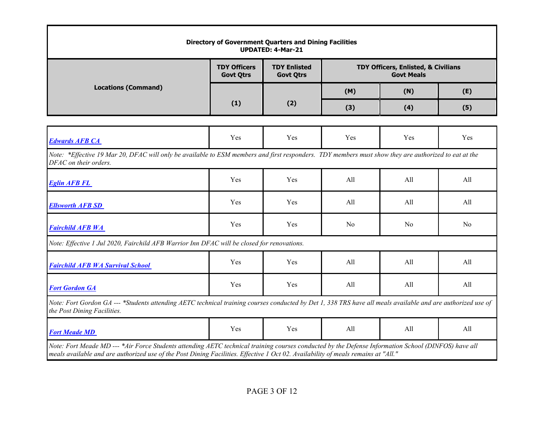| <b>Directory of Government Quarters and Dining Facilities</b><br><b>UPDATED: 4-Mar-21</b>                                                                                                                                                                                                |                                         |                                         |                |                                                          |                |  |
|------------------------------------------------------------------------------------------------------------------------------------------------------------------------------------------------------------------------------------------------------------------------------------------|-----------------------------------------|-----------------------------------------|----------------|----------------------------------------------------------|----------------|--|
|                                                                                                                                                                                                                                                                                          | <b>TDY Officers</b><br><b>Govt Qtrs</b> | <b>TDY Enlisted</b><br><b>Govt Qtrs</b> |                | TDY Officers, Enlisted, & Civilians<br><b>Govt Meals</b> |                |  |
| <b>Locations (Command)</b>                                                                                                                                                                                                                                                               |                                         |                                         | (M)            | (N)                                                      | (E)            |  |
|                                                                                                                                                                                                                                                                                          | (1)                                     | (2)                                     | (3)            | (4)                                                      | (5)            |  |
|                                                                                                                                                                                                                                                                                          |                                         |                                         |                |                                                          |                |  |
| <b>Edwards AFB CA</b>                                                                                                                                                                                                                                                                    | Yes                                     | Yes                                     | Yes            | Yes                                                      | Yes            |  |
| Note: *Effective 19 Mar 20, DFAC will only be available to ESM members and first responders. TDY members must show they are authorized to eat at the<br>DFAC on their orders.                                                                                                            |                                         |                                         |                |                                                          |                |  |
| <b>Eglin AFB FL</b>                                                                                                                                                                                                                                                                      | Yes                                     | Yes                                     | All            | All                                                      | All            |  |
| <b>Ellsworth AFB SD</b>                                                                                                                                                                                                                                                                  | Yes                                     | Yes                                     | All            | All                                                      | All            |  |
| <b>Fairchild AFB WA</b>                                                                                                                                                                                                                                                                  | Yes                                     | Yes                                     | N <sub>0</sub> | N <sub>0</sub>                                           | N <sub>0</sub> |  |
| Note: Effective 1 Jul 2020, Fairchild AFB Warrior Inn DFAC will be closed for renovations.                                                                                                                                                                                               |                                         |                                         |                |                                                          |                |  |
| <b>Fairchild AFB WA Survival School</b>                                                                                                                                                                                                                                                  | Yes                                     | Yes                                     | All            | All                                                      | All            |  |
| <b>Fort Gordon GA</b>                                                                                                                                                                                                                                                                    | Yes                                     | Yes                                     | All            | All                                                      | All            |  |
| Note: Fort Gordon GA --- *Students attending AETC technical training courses conducted by Det 1, 338 TRS have all meals available and are authorized use of<br>the Post Dining Facilities.                                                                                               |                                         |                                         |                |                                                          |                |  |
| <b>Fort Meade MD</b>                                                                                                                                                                                                                                                                     | Yes                                     | <b>Yes</b>                              | All            | All                                                      | All            |  |
| Note: Fort Meade MD --- *Air Force Students attending AETC technical training courses conducted by the Defense Information School (DINFOS) have all<br>meals available and are authorized use of the Post Dining Facilities. Effective 1 Oct 02. Availability of meals remains at "All." |                                         |                                         |                |                                                          |                |  |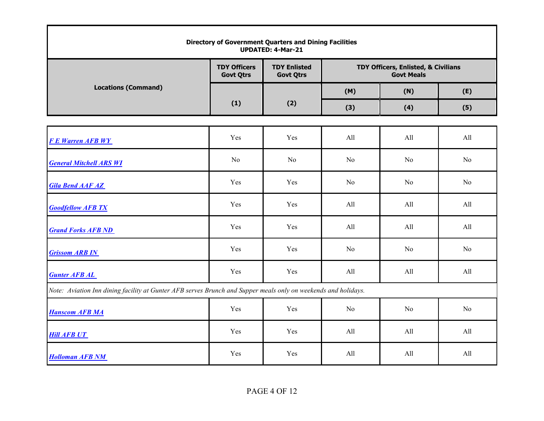| <b>Directory of Government Quarters and Dining Facilities</b><br><b>UPDATED: 4-Mar-21</b>                      |                                         |                                         |     |                                                          |     |  |  |  |
|----------------------------------------------------------------------------------------------------------------|-----------------------------------------|-----------------------------------------|-----|----------------------------------------------------------|-----|--|--|--|
|                                                                                                                | <b>TDY Officers</b><br><b>Govt Qtrs</b> | <b>TDY Enlisted</b><br><b>Govt Qtrs</b> |     | TDY Officers, Enlisted, & Civilians<br><b>Govt Meals</b> |     |  |  |  |
| <b>Locations (Command)</b>                                                                                     |                                         |                                         | (M) | (N)                                                      | (E) |  |  |  |
|                                                                                                                | (1)                                     | (2)                                     | (3) | (4)                                                      | (5) |  |  |  |
|                                                                                                                |                                         |                                         |     |                                                          |     |  |  |  |
| <b>F E Warren AFB WY</b>                                                                                       | Yes                                     | Yes                                     | All | All                                                      | All |  |  |  |
| <b>General Mitchell ARS WI</b>                                                                                 | No                                      | No                                      | No  | No                                                       | No  |  |  |  |
| <b>Gila Bend AAF AZ</b>                                                                                        | Yes                                     | Yes                                     | No  | N <sub>o</sub>                                           | No  |  |  |  |
| <b>Goodfellow AFB TX</b>                                                                                       | Yes                                     | Yes                                     | All | All                                                      | All |  |  |  |
| <b>Grand Forks AFB ND</b>                                                                                      | Yes                                     | Yes                                     | All | All                                                      | All |  |  |  |
| <b>Grissom ARB IN</b>                                                                                          | Yes                                     | Yes                                     | No  | N <sub>o</sub>                                           | No  |  |  |  |
| <b>Gunter AFB AL</b>                                                                                           | Yes                                     | Yes                                     | All | All                                                      | All |  |  |  |
| Note: Aviation Inn dining facility at Gunter AFB serves Brunch and Supper meals only on weekends and holidays. |                                         |                                         |     |                                                          |     |  |  |  |
| <b>Hanscom AFB MA</b>                                                                                          | Yes                                     | Yes                                     | No  | No                                                       | No  |  |  |  |
| <b>Hill AFB UT</b>                                                                                             | Yes                                     | Yes                                     | All | All                                                      | All |  |  |  |
| <b>Holloman AFB NM</b>                                                                                         | Yes                                     | Yes                                     | All | All                                                      | All |  |  |  |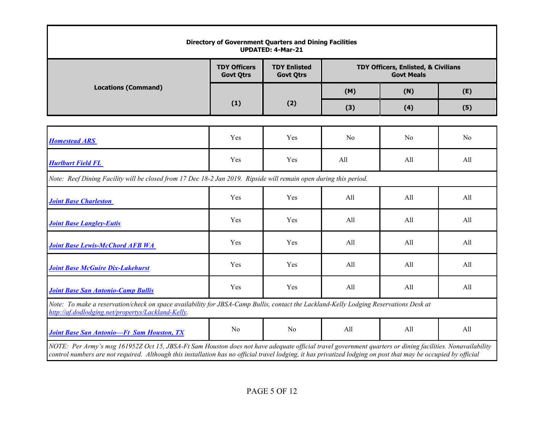| <b>Directory of Government Quarters and Dining Facilities</b><br><b>UPDATED: 4-Mar-21</b>                                                                                                                                                                                                                                    |                                         |                                         |     |                                                          |     |  |  |
|------------------------------------------------------------------------------------------------------------------------------------------------------------------------------------------------------------------------------------------------------------------------------------------------------------------------------|-----------------------------------------|-----------------------------------------|-----|----------------------------------------------------------|-----|--|--|
|                                                                                                                                                                                                                                                                                                                              | <b>TDY Officers</b><br><b>Govt Qtrs</b> | <b>TDY Enlisted</b><br><b>Govt Qtrs</b> |     | TDY Officers, Enlisted, & Civilians<br><b>Govt Meals</b> |     |  |  |
| <b>Locations (Command)</b>                                                                                                                                                                                                                                                                                                   |                                         |                                         | (M) | (N)                                                      | (E) |  |  |
|                                                                                                                                                                                                                                                                                                                              | (1)                                     | (2)                                     | (3) | (4)                                                      | (5) |  |  |
|                                                                                                                                                                                                                                                                                                                              |                                         |                                         |     |                                                          |     |  |  |
| <b>Homestead ARS</b>                                                                                                                                                                                                                                                                                                         | Yes                                     | Yes                                     | No  | N <sub>0</sub>                                           | No  |  |  |
| <b>Hurlburt Field FL</b>                                                                                                                                                                                                                                                                                                     | Yes                                     | Yes                                     | All | All                                                      | All |  |  |
| Note: Reef Dining Facility will be closed from 17 Dec 18-2 Jan 2019. Ripside will remain open during this period.                                                                                                                                                                                                            |                                         |                                         |     |                                                          |     |  |  |
| <b>Joint Base Charleston</b>                                                                                                                                                                                                                                                                                                 | Yes                                     | Yes                                     | All | All                                                      | All |  |  |
| <b>Joint Base Langley-Eutis</b>                                                                                                                                                                                                                                                                                              | Yes                                     | Yes                                     | All | All                                                      | All |  |  |
| <b>Joint Base Lewis-McChord AFB WA</b>                                                                                                                                                                                                                                                                                       | Yes                                     | Yes                                     | All | All                                                      | All |  |  |
| <b>Joint Base McGuire Dix-Lakehurst</b>                                                                                                                                                                                                                                                                                      | Yes                                     | Yes                                     | All | All                                                      | All |  |  |
| <b>Joint Base San Antonio-Camp Bullis</b>                                                                                                                                                                                                                                                                                    | Yes                                     | Yes                                     | All | All                                                      | All |  |  |
| Note: To make a reservation/check on space availability for JBSA-Camp Bullis, contact the Lackland-Kelly Lodging Reservations Desk at<br>http://af.dodlodging.net/propertys/Lackland-Kelly.                                                                                                                                  |                                         |                                         |     |                                                          |     |  |  |
| <b>Joint Base San Antonio-Ft Sam Houston, TX</b>                                                                                                                                                                                                                                                                             | No                                      | No                                      | All | All                                                      | All |  |  |
| NOTE: Per Army's msg 161952Z Oct 15, JBSA-Ft Sam Houston does not have adequate official travel government quarters or dining facilities. Nonavailability<br>control numbers are not required. Although this installation has no official travel lodging, it has privatized lodging on post that may be occupied by official |                                         |                                         |     |                                                          |     |  |  |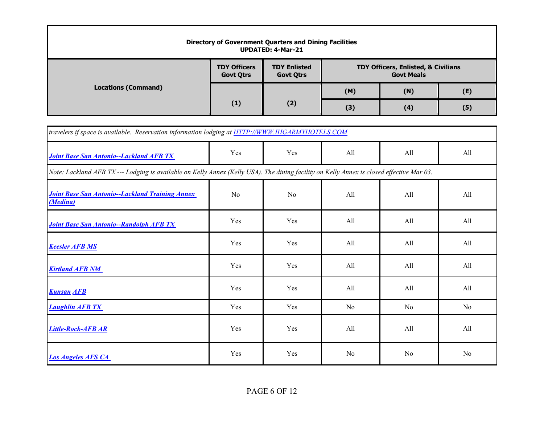|                            |                                         | <b>Directory of Government Quarters and Dining Facilities</b><br><b>UPDATED: 4-Mar-21</b> |                                                                     |     |     |
|----------------------------|-----------------------------------------|-------------------------------------------------------------------------------------------|---------------------------------------------------------------------|-----|-----|
|                            | <b>TDY Officers</b><br><b>Govt Qtrs</b> | <b>TDY Enlisted</b><br><b>Govt Otrs</b>                                                   | <b>TDY Officers, Enlisted, &amp; Civilians</b><br><b>Govt Meals</b> |     |     |
| <b>Locations (Command)</b> |                                         |                                                                                           | (M)                                                                 | (N) | (E) |
|                            | (1)                                     | (2)                                                                                       | (3)                                                                 | (4) | (5) |

| travelers if space is available. Reservation information lodging at HTTP://WWW.IHGARMYHOTELS.COM                                          |     |                |                |     |                |  |  |  |  |
|-------------------------------------------------------------------------------------------------------------------------------------------|-----|----------------|----------------|-----|----------------|--|--|--|--|
| <b>Joint Base San Antonio--Lackland AFB TX</b>                                                                                            | Yes | Yes            | All            | All | All            |  |  |  |  |
| Note: Lackland AFB TX --- Lodging is available on Kelly Annex (Kelly USA). The dining facility on Kelly Annex is closed effective Mar 03. |     |                |                |     |                |  |  |  |  |
| <b>Joint Base San Antonio--Lackland Training Annex</b><br>(Medina)                                                                        | No  | N <sub>0</sub> | All            | All | All            |  |  |  |  |
| <b>Joint Base San Antonio--Randolph AFB TX</b>                                                                                            | Yes | Yes            | All            | All | All            |  |  |  |  |
| <b>Keesler AFB MS</b>                                                                                                                     | Yes | Yes            | All            | All | All            |  |  |  |  |
| <b>Kirtland AFB NM</b>                                                                                                                    | Yes | Yes            | All            | All | All            |  |  |  |  |
| <b>Kunsan AFB</b>                                                                                                                         | Yes | Yes            | All            | All | All            |  |  |  |  |
| <b>Laughlin AFB TX</b>                                                                                                                    | Yes | Yes            | No             | No  | N <sub>o</sub> |  |  |  |  |
| Little-Rock-AFB AR                                                                                                                        | Yes | Yes            | All            | All | All            |  |  |  |  |
| <b>Los Angeles AFS CA</b>                                                                                                                 | Yes | Yes            | N <sub>o</sub> | No  | N <sub>o</sub> |  |  |  |  |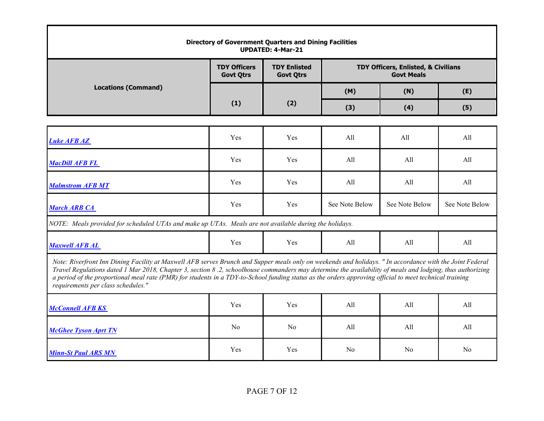| <b>Directory of Government Quarters and Dining Facilities</b><br><b>UPDATED: 4-Mar-21</b>                                                                                                                                                                                                                                                                                                                                                                                                                              |                                         |                                         |                                     |                |                |  |  |  |
|------------------------------------------------------------------------------------------------------------------------------------------------------------------------------------------------------------------------------------------------------------------------------------------------------------------------------------------------------------------------------------------------------------------------------------------------------------------------------------------------------------------------|-----------------------------------------|-----------------------------------------|-------------------------------------|----------------|----------------|--|--|--|
|                                                                                                                                                                                                                                                                                                                                                                                                                                                                                                                        | <b>TDY Officers</b><br><b>Govt Qtrs</b> | <b>TDY Enlisted</b><br><b>Govt Qtrs</b> | TDY Officers, Enlisted, & Civilians |                |                |  |  |  |
| <b>Locations (Command)</b>                                                                                                                                                                                                                                                                                                                                                                                                                                                                                             |                                         |                                         | (M)                                 | (N)            | (E)            |  |  |  |
|                                                                                                                                                                                                                                                                                                                                                                                                                                                                                                                        | (1)                                     | (2)                                     | (3)                                 | (4)            | (5)            |  |  |  |
|                                                                                                                                                                                                                                                                                                                                                                                                                                                                                                                        |                                         |                                         |                                     |                |                |  |  |  |
| <b>Luke AFB AZ</b>                                                                                                                                                                                                                                                                                                                                                                                                                                                                                                     | Yes                                     | Yes                                     | All                                 | All            | All            |  |  |  |
| <b>MacDill AFB FL</b>                                                                                                                                                                                                                                                                                                                                                                                                                                                                                                  | Yes                                     | Yes                                     | All                                 | All            | All            |  |  |  |
| <b>Malmstrom AFB MT</b>                                                                                                                                                                                                                                                                                                                                                                                                                                                                                                | Yes                                     | Yes                                     | All                                 | All            | All            |  |  |  |
| <b>March ARB CA</b>                                                                                                                                                                                                                                                                                                                                                                                                                                                                                                    | Yes                                     | Yes                                     | See Note Below                      | See Note Below | See Note Below |  |  |  |
| NOTE: Meals provided for scheduled UTAs and make up UTAs. Meals are not available during the holidays.                                                                                                                                                                                                                                                                                                                                                                                                                 |                                         |                                         |                                     |                |                |  |  |  |
| <b>Maxwell AFB AL</b>                                                                                                                                                                                                                                                                                                                                                                                                                                                                                                  | Yes                                     | Yes                                     | All                                 | All            | All            |  |  |  |
| Note: Riverfront Inn Dining Facility at Maxwell AFB serves Brunch and Supper meals only on weekends and holidays. " In accordance with the Joint Federal<br>Travel Regulations dated 1 Mar 2018, Chapter 3, section 8.2, schoolhouse commanders may determine the availability of meals and lodging, thus authorizing<br>a period of the proportional meal rate (PMR) for students in a TDY-to-School funding status as the orders approving official to meet technical training<br>requirements per class schedules." |                                         |                                         |                                     |                |                |  |  |  |
| <b>McConnell AFB KS</b>                                                                                                                                                                                                                                                                                                                                                                                                                                                                                                | Yes                                     | Yes                                     | All                                 | All            | All            |  |  |  |
| <b>McGhee Tyson Aprt TN</b>                                                                                                                                                                                                                                                                                                                                                                                                                                                                                            | N <sub>o</sub>                          | N <sub>0</sub>                          | All                                 | All            | All            |  |  |  |
| <b>Minn-St Paul ARS MN</b>                                                                                                                                                                                                                                                                                                                                                                                                                                                                                             | Yes                                     | Yes                                     | No                                  | N <sub>o</sub> | No             |  |  |  |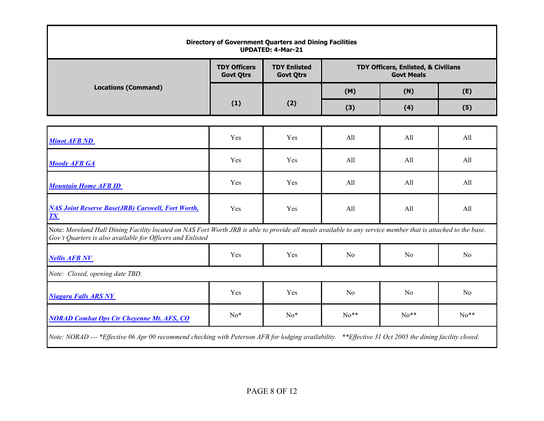| <b>Directory of Government Quarters and Dining Facilities</b><br><b>UPDATED: 4-Mar-21</b>                                                                                                                                  |                                         |                                         |                                     |                |                |  |  |
|----------------------------------------------------------------------------------------------------------------------------------------------------------------------------------------------------------------------------|-----------------------------------------|-----------------------------------------|-------------------------------------|----------------|----------------|--|--|
|                                                                                                                                                                                                                            | <b>TDY Officers</b><br><b>Govt Qtrs</b> | <b>TDY Enlisted</b><br><b>Govt Qtrs</b> | TDY Officers, Enlisted, & Civilians |                |                |  |  |
| <b>Locations (Command)</b>                                                                                                                                                                                                 |                                         |                                         | (M)                                 | (N)            | (E)            |  |  |
|                                                                                                                                                                                                                            | (1)                                     | (2)                                     | (3)                                 | (4)            | (5)            |  |  |
|                                                                                                                                                                                                                            |                                         |                                         |                                     |                |                |  |  |
| <b>Minot AFB ND</b>                                                                                                                                                                                                        | Yes                                     | Yes                                     | All                                 | All            | All            |  |  |
| <b>Moody AFB GA</b>                                                                                                                                                                                                        | Yes                                     | Yes                                     | All                                 | All            | All            |  |  |
| <b>Mountain Home AFB ID</b>                                                                                                                                                                                                | Yes                                     | Yes                                     | All                                 | All            | All            |  |  |
| <b>NAS Joint Reserve Base(JRB) Carswell, Fort Worth,</b><br><b>TX</b>                                                                                                                                                      | Yes                                     | Yes                                     | All                                 | All            | All            |  |  |
| Note: Moreland Hall Dining Facility located on NAS Fort Worth JRB is able to provide all meals available to any service member that is attached to the base.<br>Gov't Quarters is also available for Officers and Enlisted |                                         |                                         |                                     |                |                |  |  |
| <b>Nellis AFB NV</b>                                                                                                                                                                                                       | Yes                                     | Yes                                     | No                                  | N <sub>o</sub> | No             |  |  |
| Note: Closed, opening date TBD.                                                                                                                                                                                            |                                         |                                         |                                     |                |                |  |  |
| <b>Niagara Falls ARS NY</b>                                                                                                                                                                                                | Yes                                     | Yes                                     | No                                  | N <sub>o</sub> | N <sub>o</sub> |  |  |
| <b>NORAD Combat Ops Ctr Cheyenne Mt. AFS, CO</b>                                                                                                                                                                           | $No*$                                   | $No*$                                   | $No**$                              | $No**$         | $No**$         |  |  |
| Note: NORAD --- *Effective 06 Apr 00 recommend checking with Peterson AFB for lodging availability. **Effective 31 Oct 2005 the dining facility closed.                                                                    |                                         |                                         |                                     |                |                |  |  |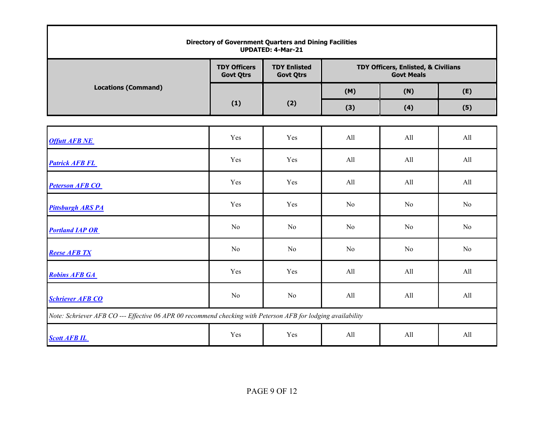| Directory of Government Quarters and Dining Facilities<br><b>UPDATED: 4-Mar-21</b>                           |                                         |                                         |                |                                                          |                |  |  |
|--------------------------------------------------------------------------------------------------------------|-----------------------------------------|-----------------------------------------|----------------|----------------------------------------------------------|----------------|--|--|
|                                                                                                              | <b>TDY Officers</b><br><b>Govt Qtrs</b> | <b>TDY Enlisted</b><br><b>Govt Qtrs</b> |                | TDY Officers, Enlisted, & Civilians<br><b>Govt Meals</b> |                |  |  |
| <b>Locations (Command)</b>                                                                                   |                                         |                                         | (M)            | (N)                                                      | (E)            |  |  |
|                                                                                                              | (1)                                     | (2)                                     | (3)            | (4)                                                      | (5)            |  |  |
|                                                                                                              |                                         |                                         |                |                                                          |                |  |  |
| <b>Offutt AFB NE</b>                                                                                         | Yes                                     | Yes                                     | All            | All                                                      | All            |  |  |
| <b>Patrick AFB FL</b>                                                                                        | Yes                                     | Yes                                     | All            | All                                                      | All            |  |  |
| <b>Peterson AFB CO</b>                                                                                       | Yes                                     | Yes                                     | All            | All                                                      | All            |  |  |
| <b>Pittsburgh ARS PA</b>                                                                                     | Yes                                     | Yes                                     | N <sub>o</sub> | No                                                       | No             |  |  |
| <b>Portland IAP OR</b>                                                                                       | No                                      | N <sub>o</sub>                          | N <sub>o</sub> | No                                                       | N <sub>o</sub> |  |  |
| <b>Reese AFB TX</b>                                                                                          | No                                      | N <sub>o</sub>                          | N <sub>o</sub> | No                                                       | No             |  |  |
| <b>Robins AFB GA</b>                                                                                         | Yes                                     | Yes                                     | All            | All                                                      | All            |  |  |
| <b>Schriever AFB CO</b>                                                                                      | No                                      | No                                      | All            | All                                                      | All            |  |  |
| Note: Schriever AFB CO --- Effective 06 APR 00 recommend checking with Peterson AFB for lodging availability |                                         |                                         |                |                                                          |                |  |  |
| <b>Scott AFB IL</b>                                                                                          | Yes                                     | Yes                                     | All            | All                                                      | All            |  |  |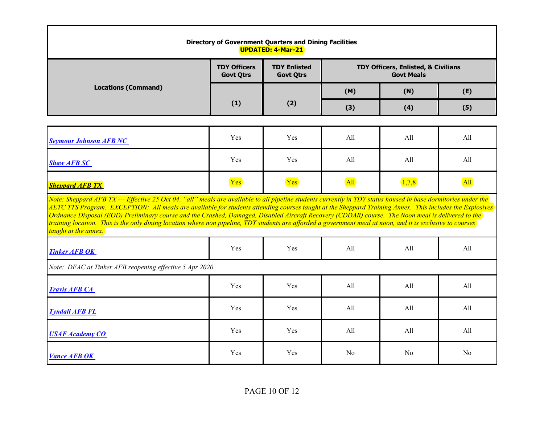| <b>Directory of Government Quarters and Dining Facilities</b><br>UPDATED: 4-Mar-21                                                                                                                                                                                                                                                                                                                                                                                                                                                                                                                                                                                    |                                         |                                         |                                                          |                |                |  |  |
|-----------------------------------------------------------------------------------------------------------------------------------------------------------------------------------------------------------------------------------------------------------------------------------------------------------------------------------------------------------------------------------------------------------------------------------------------------------------------------------------------------------------------------------------------------------------------------------------------------------------------------------------------------------------------|-----------------------------------------|-----------------------------------------|----------------------------------------------------------|----------------|----------------|--|--|
|                                                                                                                                                                                                                                                                                                                                                                                                                                                                                                                                                                                                                                                                       | <b>TDY Officers</b><br><b>Govt Qtrs</b> | <b>TDY Enlisted</b><br><b>Govt Qtrs</b> | TDY Officers, Enlisted, & Civilians<br><b>Govt Meals</b> |                |                |  |  |
| <b>Locations (Command)</b>                                                                                                                                                                                                                                                                                                                                                                                                                                                                                                                                                                                                                                            |                                         |                                         | (M)                                                      | (N)            | (E)            |  |  |
|                                                                                                                                                                                                                                                                                                                                                                                                                                                                                                                                                                                                                                                                       | (1)                                     | (2)                                     | (3)                                                      | (4)            | (5)            |  |  |
|                                                                                                                                                                                                                                                                                                                                                                                                                                                                                                                                                                                                                                                                       |                                         |                                         |                                                          |                |                |  |  |
| <b>Seymour Johnson AFB NC</b>                                                                                                                                                                                                                                                                                                                                                                                                                                                                                                                                                                                                                                         | Yes                                     | Yes                                     | All                                                      | All            | All            |  |  |
| <b>Shaw AFB SC</b>                                                                                                                                                                                                                                                                                                                                                                                                                                                                                                                                                                                                                                                    | Yes                                     | Yes                                     | All                                                      | All            | All            |  |  |
| <b>Sheppard AFB TX</b>                                                                                                                                                                                                                                                                                                                                                                                                                                                                                                                                                                                                                                                | Yes                                     | Yes                                     | All                                                      | (1,7,8)        | <b>All</b>     |  |  |
| Note: Sheppard AFB TX --- Effective 25 Oct 04, "all" meals are available to all pipeline students currently in TDY status housed in base dormitories under the<br>AETC TTS Program. EXCEPTION: All meals are available for students attending courses taught at the Sheppard Training Annex. This includes the Explosives<br>Ordnance Disposal (EOD) Preliminary course and the Crashed, Damaged, Disabled Aircraft Recovery (CDDAR) course. The Noon meal is delivered to the<br>training location. This is the only dining location where non pipeline, TDY students are afforded a government meal at noon, and it is exclusive to courses<br>taught at the annex. |                                         |                                         |                                                          |                |                |  |  |
| <b>Tinker AFB OK</b>                                                                                                                                                                                                                                                                                                                                                                                                                                                                                                                                                                                                                                                  | Yes                                     | Yes                                     | All                                                      | All            | All            |  |  |
| Note: DFAC at Tinker AFB reopening effective 5 Apr 2020.                                                                                                                                                                                                                                                                                                                                                                                                                                                                                                                                                                                                              |                                         |                                         |                                                          |                |                |  |  |
| <b>Travis AFB CA</b>                                                                                                                                                                                                                                                                                                                                                                                                                                                                                                                                                                                                                                                  | Yes                                     | Yes                                     | All                                                      | All            | All            |  |  |
| <b>Tyndall AFB FL</b>                                                                                                                                                                                                                                                                                                                                                                                                                                                                                                                                                                                                                                                 | Yes                                     | Yes                                     | All                                                      | All            | All            |  |  |
| <b>USAF Academy CO</b>                                                                                                                                                                                                                                                                                                                                                                                                                                                                                                                                                                                                                                                | Yes                                     | Yes                                     | All                                                      | All            | All            |  |  |
| <b>Vance AFB OK</b>                                                                                                                                                                                                                                                                                                                                                                                                                                                                                                                                                                                                                                                   | Yes                                     | Yes                                     | N <sub>0</sub>                                           | N <sub>0</sub> | N <sub>0</sub> |  |  |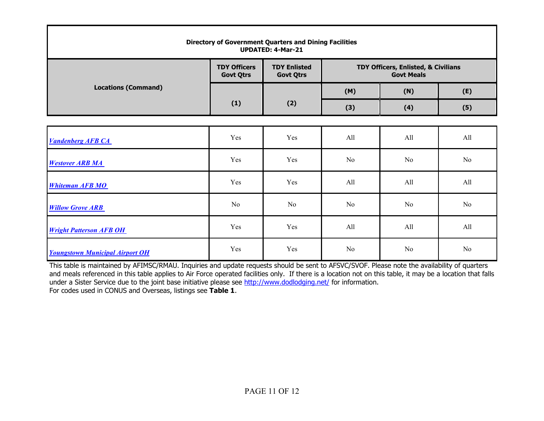| <b>Directory of Government Quarters and Dining Facilities</b><br><b>UPDATED: 4-Mar-21</b> |                                         |                                         |                                                          |                |     |  |  |  |
|-------------------------------------------------------------------------------------------|-----------------------------------------|-----------------------------------------|----------------------------------------------------------|----------------|-----|--|--|--|
|                                                                                           | <b>TDY Officers</b><br><b>Govt Qtrs</b> | <b>TDY Enlisted</b><br><b>Govt Qtrs</b> | TDY Officers, Enlisted, & Civilians<br><b>Govt Meals</b> |                |     |  |  |  |
| <b>Locations (Command)</b>                                                                |                                         |                                         | (M)                                                      | (N)            | (E) |  |  |  |
|                                                                                           | (1)                                     | (2)                                     | (3)                                                      | (4)            | (5) |  |  |  |
|                                                                                           |                                         |                                         |                                                          |                |     |  |  |  |
| <b>Vandenberg AFB CA</b>                                                                  | Yes                                     | Yes                                     | All                                                      | All            | All |  |  |  |
| <b>Westover ARB MA</b>                                                                    | Yes                                     | Yes                                     | No                                                       | No             | No  |  |  |  |
| <b>Whiteman AFB MO</b>                                                                    | Yes                                     | Yes                                     | All                                                      | All            | All |  |  |  |
| <b>Willow Grove ARB</b>                                                                   | No                                      | No                                      | No                                                       | No             | No  |  |  |  |
| <b>Wright Patterson AFB OH</b>                                                            | Yes                                     | Yes                                     | All                                                      | All            | All |  |  |  |
| <b>Youngstown Municipal Airport OH</b>                                                    | Yes                                     | Yes                                     | N <sub>0</sub>                                           | N <sub>0</sub> | No  |  |  |  |

This table is maintained by AFIMSC/RMAU. Inquiries and update requests should be sent to AFSVC/SVOF. Please note the availability of quarters and meals referenced in this table applies to Air Force operated facilities only. If there is a location not on this table, it may be a location that falls under a Sister Service due to the joint base initiative please see<http://www.dodlodging.net/> for information. For codes used in CONUS and Overseas, listings see **Table 1**.